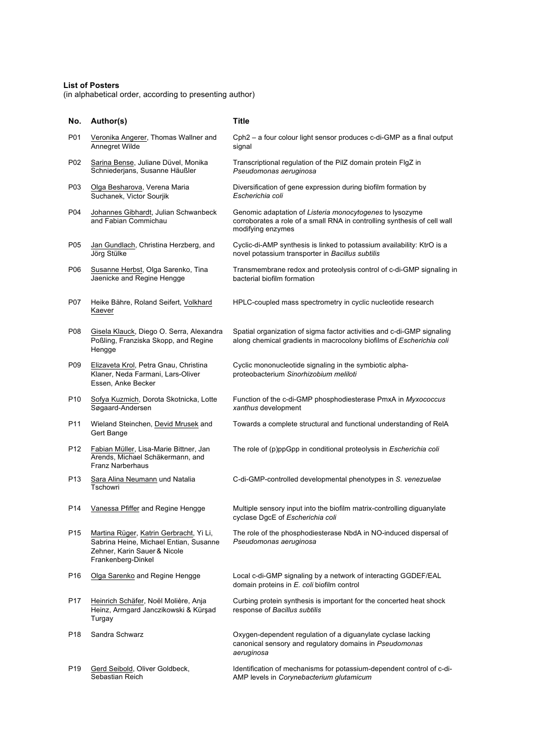## **List of Posters**

(in alphabetical order, according to presenting author)

| No.             | Author(s)                                                                                                                               | Title                                                                                                                                                     |
|-----------------|-----------------------------------------------------------------------------------------------------------------------------------------|-----------------------------------------------------------------------------------------------------------------------------------------------------------|
| P01             | Veronika Angerer, Thomas Wallner and<br>Annegret Wilde                                                                                  | Cph2 - a four colour light sensor produces c-di-GMP as a final output<br>signal                                                                           |
| P02             | Sarina Bense, Juliane Düvel, Monika<br>Schniederjans, Susanne Häußler                                                                   | Transcriptional regulation of the PilZ domain protein FIgZ in<br>Pseudomonas aeruginosa                                                                   |
| P03             | Olga Besharova, Verena Maria<br>Suchanek, Victor Sourjik                                                                                | Diversification of gene expression during biofilm formation by<br>Escherichia coli                                                                        |
| P04             | Johannes Gibhardt, Julian Schwanbeck<br>and Fabian Commichau                                                                            | Genomic adaptation of Listeria monocytogenes to lysozyme<br>corroborates a role of a small RNA in controlling synthesis of cell wall<br>modifying enzymes |
| P <sub>05</sub> | Jan Gundlach, Christina Herzberg, and<br>Jörg Stülke                                                                                    | Cyclic-di-AMP synthesis is linked to potassium availability: KtrO is a<br>novel potassium transporter in Bacillus subtilis                                |
| P06             | Susanne Herbst, Olga Sarenko, Tina<br>Jaenicke and Regine Hengge                                                                        | Transmembrane redox and proteolysis control of c-di-GMP signaling in<br>bacterial biofilm formation                                                       |
| P07             | Heike Bähre, Roland Seifert, Volkhard<br>Kaever                                                                                         | HPLC-coupled mass spectrometry in cyclic nucleotide research                                                                                              |
| P08             | Gisela Klauck, Diego O. Serra, Alexandra<br>Poßling, Franziska Skopp, and Regine<br>Hengge                                              | Spatial organization of sigma factor activities and c-di-GMP signaling<br>along chemical gradients in macrocolony biofilms of Escherichia coli            |
| P09             | Elizaveta Krol, Petra Gnau, Christina<br>Klaner, Neda Farmani, Lars-Oliver<br>Essen, Anke Becker                                        | Cyclic mononucleotide signaling in the symbiotic alpha-<br>proteobacterium Sinorhizobium meliloti                                                         |
| P <sub>10</sub> | Sofya Kuzmich, Dorota Skotnicka, Lotte<br>Søgaard-Andersen                                                                              | Function of the c-di-GMP phosphodiesterase PmxA in Myxococcus<br>xanthus development                                                                      |
| P11             | Wieland Steinchen, Devid Mrusek and<br>Gert Bange                                                                                       | Towards a complete structural and functional understanding of ReIA                                                                                        |
| P <sub>12</sub> | Fabian Müller, Lisa-Marie Bittner, Jan<br>Arends, Michael Schäkermann, and<br><b>Franz Narberhaus</b>                                   | The role of (p)ppGpp in conditional proteolysis in Escherichia coli                                                                                       |
| P <sub>13</sub> | Sara Alina Neumann und Natalia<br>Tschowri                                                                                              | C-di-GMP-controlled developmental phenotypes in S. venezuelae                                                                                             |
| P <sub>14</sub> | Vanessa Pfiffer and Regine Hengge                                                                                                       | Multiple sensory input into the biofilm matrix-controlling diguanylate<br>cyclase DgcE of Escherichia coli                                                |
| P <sub>15</sub> | Martina Rüger, Katrin Gerbracht, Yi Li,<br>Sabrina Heine, Michael Entian, Susanne<br>Zehner, Karin Sauer & Nicole<br>Frankenberg-Dinkel | The role of the phosphodiesterase NbdA in NO-induced dispersal of<br>Pseudomonas aeruginosa                                                               |
| P <sub>16</sub> | Olga Sarenko and Regine Hengge                                                                                                          | Local c-di-GMP signaling by a network of interacting GGDEF/EAL<br>domain proteins in E. coli biofilm control                                              |
| P <sub>17</sub> | Heinrich Schäfer, Noël Molière, Anja<br>Heinz, Armgard Janczikowski & Kürşad<br>Turgay                                                  | Curbing protein synthesis is important for the concerted heat shock<br>response of Bacillus subtilis                                                      |
| P <sub>18</sub> | Sandra Schwarz                                                                                                                          | Oxygen-dependent regulation of a diguanylate cyclase lacking<br>canonical sensory and regulatory domains in Pseudomonas<br>aeruginosa                     |
| P <sub>19</sub> | Gerd Seibold, Oliver Goldbeck,<br>Sebastian Reich                                                                                       | Identification of mechanisms for potassium-dependent control of c-di-<br>AMP levels in Corynebacterium glutamicum                                         |